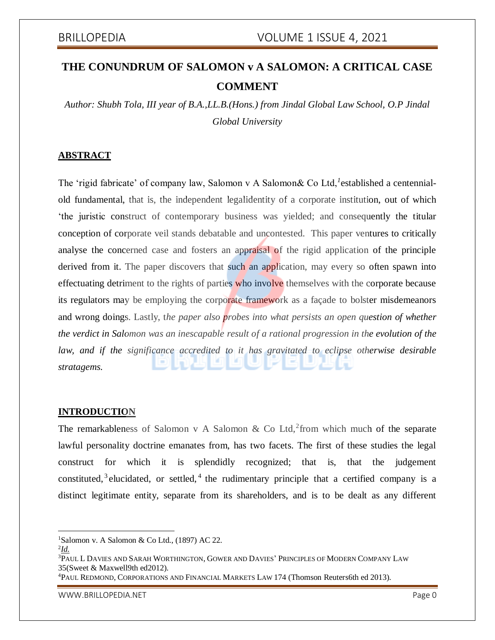# **THE CONUNDRUM OF SALOMON v A SALOMON: A CRITICAL CASE COMMENT**

*Author: Shubh Tola, III year of B.A.,LL.B.(Hons.) from Jindal Global Law School, O.P Jindal Global University*

### **ABSTRACT**

The 'rigid fabricate' of company law, Salomon v A Salomon& Co Ltd, <sup>*l*</sup>established a centennialold fundamental, that is, the independent legalidentity of a corporate institution, out of which 'the juristic construct of contemporary business was yielded; and consequently the titular conception of corporate veil stands debatable and uncontested. This paper ventures to critically analyse the concerned case and fosters an appraisal of the rigid application of the principle derived from it. The paper discovers that such an application, may every so often spawn into effectuating detriment to the rights of parties who involve themselves with the corporate because its regulators may be employing the corporate framework as a façade to bolster misdemeanors and wrong doings. Lastly, t*he paper also probes into what persists an open question of whether the verdict in Salomon was an inescapable result of a rational progression in the evolution of the law, and if the significance accredited to it has gravitated to eclipse otherwise desirable stratagems.*

### **INTRODUCTION**

The remarkableness of Salomon v A Salomon & Co Ltd,<sup>2</sup> from which much of the separate lawful personality doctrine emanates from, has two facets. The first of these studies the legal construct for which it is splendidly recognized; that is, that the judgement constituted,<sup>3</sup> elucidated, or settled,<sup>4</sup> the rudimentary principle that a certified company is a distinct legitimate entity, separate from its shareholders, and is to be dealt as any different

<sup>1</sup>Salomon v. A Salomon & Co Ltd.,  $(1897)$  AC 22.

 $\overline{\phantom{a}}$ 

<sup>3</sup>PAUL L DAVIES AND SARAH WORTHINGTON, GOWER AND DAVIES' PRINCIPLES OF MODERN COMPANY LAW 35(Sweet & Maxwell9th ed2012).

<sup>4</sup>PAUL REDMOND, CORPORATIONS AND FINANCIAL MARKETS LAW 174 (Thomson Reuters6th ed 2013).

WWW.BRILLOPEDIA.NET And the state of the state of the state of the state of the state of the state of the state of the state of the state of the state of the state of the state of the state of the state of the state of the

<sup>2</sup> *Id.*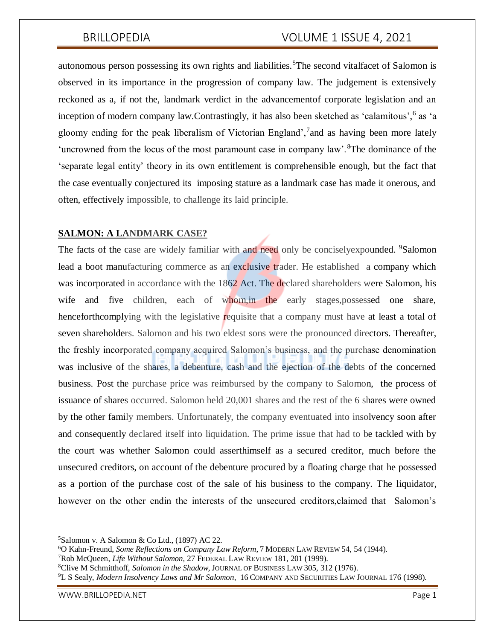autonomous person possessing its own rights and liabilities.<sup>5</sup>The second vitalfacet of Salomon is observed in its importance in the progression of company law. The judgement is extensively reckoned as a, if not the, landmark verdict in the advancementof corporate legislation and an inception of modern company law. Contrastingly, it has also been sketched as 'calamitous', <sup>6</sup> as 'a gloomy ending for the peak liberalism of Victorian England', and as having been more lately 'uncrowned from the locus of the most paramount case in company law'.<sup>8</sup>The dominance of the 'separate legal entity' theory in its own entitlement is comprehensible enough, but the fact that the case eventually conjectured its imposing stature as a landmark case has made it onerous, and often, effectively impossible, to challenge its laid principle.

### **SALMON: A LANDMARK CASE?**

The facts of the case are widely familiar with and need only be conciselyexpounded. <sup>9</sup>Salomon lead a boot manufacturing commerce as an exclusive trader. He established a company which was incorporated in accordance with the 1862 Act. The declared shareholders were Salomon, his wife and five children, each of whom, in the early stages, possessed one share, henceforthcomplying with the legislative requisite that a company must have at least a total of seven shareholders. Salomon and his two eldest sons were the pronounced directors. Thereafter, the freshly incorporated company acquired Salomon's business, and the purchase denomination was inclusive of the shares, a debenture, cash and the ejection of the debts of the concerned business. Post the purchase price was reimbursed by the company to Salomon, the process of issuance of shares occurred. Salomon held 20,001 shares and the rest of the 6 shares were owned by the other family members. Unfortunately, the company eventuated into insolvency soon after and consequently declared itself into liquidation. The prime issue that had to be tackled with by the court was whether Salomon could asserthimself as a secured creditor, much before the unsecured creditors, on account of the debenture procured by a floating charge that he possessed as a portion of the purchase cost of the sale of his business to the company. The liquidator, however on the other endin the interests of the unsecured creditors,claimed that Salomon's

 $\overline{\phantom{a}}$ 

 $5$ Salomon v. A Salomon & Co Ltd., (1897) AC 22.

<sup>6</sup>O Kahn-Freund, *Some Reflections on Company Law Reform,* 7 MODERN LAW REVIEW 54, 54 (1944).

<sup>7</sup>Rob McQueen, *Life Without Salomon,* 27 FEDERAL LAW REVIEW 181, 201 (1999).

<sup>8</sup>Clive M Schmitthoff, *Salomon in the Shadow*, JOURNAL OF BUSINESS LAW 305, 312 (1976).

<sup>9</sup>L S Sealy, *Modern Insolvency Laws and Mr Salomon*, 16 COMPANY AND SECURITIES LAW JOURNAL 176 (1998).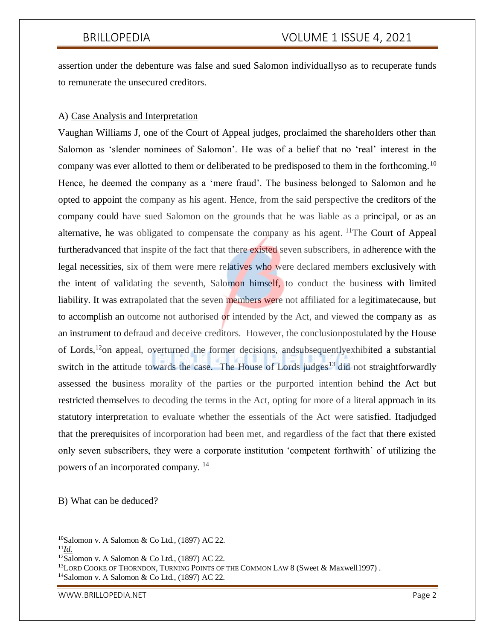assertion under the debenture was false and sued Salomon individuallyso as to recuperate funds to remunerate the unsecured creditors.

### A) Case Analysis and Interpretation

Vaughan Williams J, one of the Court of Appeal judges, proclaimed the shareholders other than Salomon as 'slender nominees of Salomon'. He was of a belief that no 'real' interest in the company was ever allotted to them or deliberated to be predisposed to them in the forthcoming.<sup>10</sup> Hence, he deemed the company as a 'mere fraud'. The business belonged to Salomon and he opted to appoint the company as his agent. Hence, from the said perspective the creditors of the company could have sued Salomon on the grounds that he was liable as a principal, or as an alternative, he was obligated to compensate the company as his agent. <sup>11</sup>The Court of Appeal furtheradvanced that inspite of the fact that there existed seven subscribers, in adherence with the legal necessities, six of them were mere relatives who were declared members exclusively with the intent of validating the seventh, Salomon himself, to conduct the business with limited liability. It was extrapolated that the seven members were not affiliated for a legitimatecause, but to accomplish an outcome not authorised or intended by the Act, and viewed the company as as an instrument to defraud and deceive creditors. However, the conclusionpostulated by the House of Lords,<sup>12</sup>on appeal, overturned the former decisions, andsubsequentlyexhibited a substantial switch in the attitude towards the case. The House of Lords judges<sup>13</sup> did not straightforwardly assessed the business morality of the parties or the purported intention behind the Act but restricted themselves to decoding the terms in the Act, opting for more of a literal approach in its statutory interpretation to evaluate whether the essentials of the Act were satisfied. Itadjudged that the prerequisites of incorporation had been met, and regardless of the fact that there existed only seven subscribers, they were a corporate institution 'competent forthwith' of utilizing the powers of an incorporated company. <sup>14</sup>

### B) What can be deduced?

 $\overline{\phantom{a}}$ 

<sup>13</sup>LORD COOKE OF THORNDON, TURNING POINTS OF THE COMMON LAW 8 (Sweet & Maxwell1997).

 $10$ Salomon v. A Salomon & Co Ltd., (1897) AC 22.

<sup>11</sup>*Id.*

 $12$ Salomon v. A Salomon & Co Ltd., (1897) AC 22.

<sup>14</sup>Salomon v. A Salomon & Co Ltd., (1897) AC 22.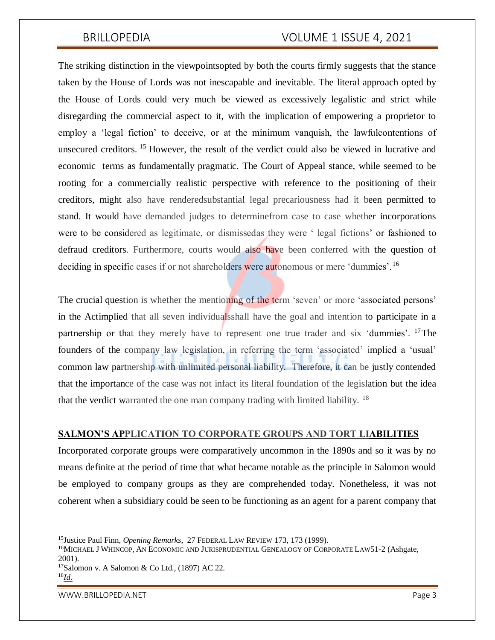The striking distinction in the viewpointsopted by both the courts firmly suggests that the stance taken by the House of Lords was not inescapable and inevitable. The literal approach opted by the House of Lords could very much be viewed as excessively legalistic and strict while disregarding the commercial aspect to it, with the implication of empowering a proprietor to employ a 'legal fiction' to deceive, or at the minimum vanquish, the lawfulcontentions of unsecured creditors. <sup>15</sup> However, the result of the verdict could also be viewed in lucrative and economic terms as fundamentally pragmatic. The Court of Appeal stance, while seemed to be rooting for a commercially realistic perspective with reference to the positioning of their creditors, might also have renderedsubstantial legal precariousness had it been permitted to stand. It would have demanded judges to determinefrom case to case whether incorporations were to be considered as legitimate, or dismissedas they were ' legal fictions' or fashioned to defraud creditors. Furthermore, courts would also have been conferred with the question of deciding in specific cases if or not shareholders were autonomous or mere 'dummies'.<sup>16</sup>

The crucial question is whether the mentioning of the term 'seven' or more 'associated persons' in the Actimplied that all seven individualsshall have the goal and intention to participate in a partnership or that they merely have to represent one true trader and six 'dummies'. <sup>17</sup>The founders of the company law legislation, in referring the term 'associated' implied a 'usual' common law partnership with unlimited personal liability. Therefore, it can be justly contended that the importance of the case was not infact its literal foundation of the legislation but the idea that the verdict warranted the one man company trading with limited liability. <sup>18</sup>

### **SALMON'S APPLICATION TO CORPORATE GROUPS AND TORT LIABILITIES**

Incorporated corporate groups were comparatively uncommon in the 1890s and so it was by no means definite at the period of time that what became notable as the principle in Salomon would be employed to company groups as they are comprehended today. Nonetheless, it was not coherent when a subsidiary could be seen to be functioning as an agent for a parent company that

WWW.BRILLOPEDIA.NET And the state of the state of the state of the state of the state of the state of the state of the state of the state of the state of the state of the state of the state of the state of the state of the

 $\overline{\phantom{a}}$ 

<sup>15</sup>Justice Paul Finn, *Opening Remarks*, 27 FEDERAL LAW REVIEW 173, 173 (1999).

<sup>&</sup>lt;sup>16</sup>MICHAEL J WHINCOP, AN ECONOMIC AND JURISPRUDENTIAL GENEALOGY OF CORPORATE LAW51-2 (Ashgate, 2001).

<sup>17</sup>Salomon v. A Salomon & Co Ltd., (1897) AC 22. 18*Id.*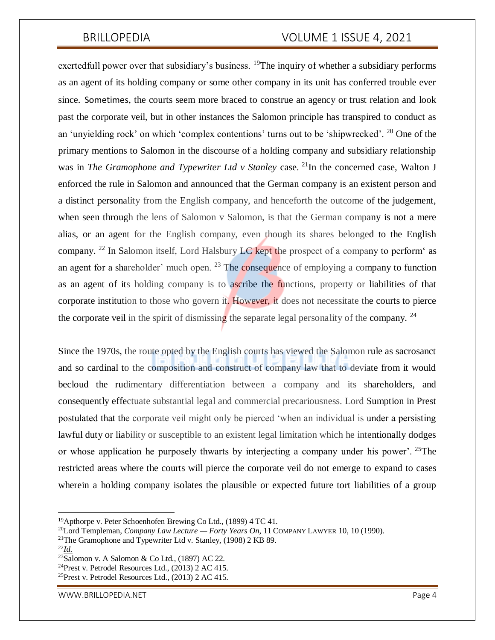exertedfull power over that subsidiary's business. <sup>19</sup>The inquiry of whether a subsidiary performs as an agent of its holding company or some other company in its unit has conferred trouble ever since. Sometimes, the courts seem more braced to construe an agency or trust relation and look past the corporate veil, but in other instances the Salomon principle has transpired to conduct as an 'unyielding rock' on which 'complex contentions' turns out to be 'shipwrecked'. <sup>20</sup> One of the primary mentions to Salomon in the discourse of a holding company and subsidiary relationship was in *The Gramophone and Typewriter Ltd v Stanley* case. <sup>21</sup>In the concerned case, Walton J enforced the rule in Salomon and announced that the German company is an existent person and a distinct personality from the English company, and henceforth the outcome of the judgement, when seen through the lens of Salomon v Salomon, is that the German company is not a mere alias, or an agent for the English company, even though its shares belonged to the English company. <sup>22</sup> In Salomon itself, Lord Halsbury LC kept the prospect of a company to perform as an agent for a shareholder' much open.  $23$  The consequence of employing a company to function as an agent of its holding company is to ascribe the functions, property or liabilities of that corporate institution to those who govern it. However, it does not necessitate the courts to pierce the corporate veil in the spirit of dismissing the separate legal personality of the company. <sup>24</sup>

Since the 1970s, the route opted by the English courts has viewed the Salomon rule as sacrosanct and so cardinal to the composition and construct of company law that to deviate from it would becloud the rudimentary differentiation between a company and its shareholders, and consequently effectuate substantial legal and commercial precariousness. Lord Sumption in Prest postulated that the corporate veil might only be pierced 'when an individual is under a persisting lawful duty or liability or susceptible to an existent legal limitation which he intentionally dodges or whose application he purposely thwarts by interjecting a company under his power'. <sup>25</sup>The restricted areas where the courts will pierce the corporate veil do not emerge to expand to cases wherein a holding company isolates the plausible or expected future tort liabilities of a group

 $\overline{\phantom{a}}$ 

<sup>&</sup>lt;sup>19</sup>Apthorpe v. Peter Schoenhofen Brewing Co Ltd., (1899) 4 TC 41.

<sup>20</sup>Lord Templeman, *Company Law Lecture — Forty Years On*, 11 COMPANY LAWYER 10, 10 (1990).

<sup>&</sup>lt;sup>21</sup>The Gramophone and Typewriter Ltd v. Stanley,  $(1908)$  2 KB 89.

<sup>22</sup>*Id.*

 $23$ Salomon v. A Salomon & Co Ltd., (1897) AC 22.

<sup>24</sup>Prest v. Petrodel Resources Ltd., (2013) 2 AC 415.

<sup>25</sup>Prest v. Petrodel Resources Ltd., (2013) 2 AC 415.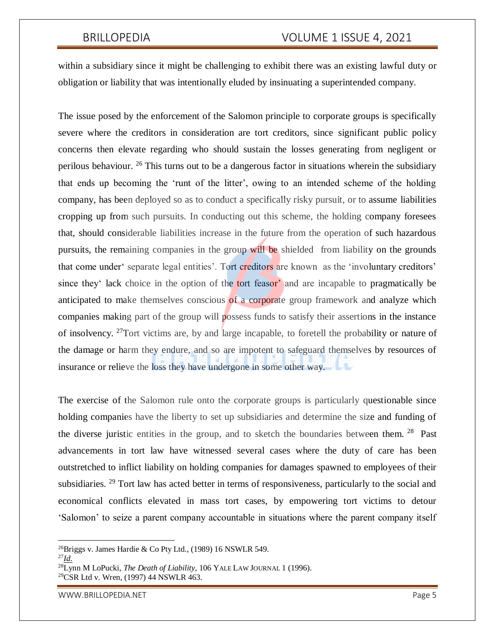within a subsidiary since it might be challenging to exhibit there was an existing lawful duty or obligation or liability that was intentionally eluded by insinuating a superintended company.

The issue posed by the enforcement of the Salomon principle to corporate groups is specifically severe where the creditors in consideration are tort creditors, since significant public policy concerns then elevate regarding who should sustain the losses generating from negligent or perilous behaviour. <sup>26</sup> This turns out to be a dangerous factor in situations wherein the subsidiary that ends up becoming the 'runt of the litter', owing to an intended scheme of the holding company, has been deployed so as to conduct a specifically risky pursuit, or to assume liabilities cropping up from such pursuits. In conducting out this scheme, the holding company foresees that, should considerable liabilities increase in the future from the operation of such hazardous pursuits, the remaining companies in the group will be shielded from liability on the grounds that come under' separate legal entities'. Tort creditors are known as the 'involuntary creditors' since they' lack choice in the option of the tort feasor' and are incapable to pragmatically be anticipated to make themselves conscious of a corporate group framework and analyze which companies making part of the group will possess funds to satisfy their assertions in the instance of insolvency. <sup>27</sup>Tort victims are, by and large incapable, to foretell the probability or nature of the damage or harm they endure, and so are impotent to safeguard themselves by resources of insurance or relieve the loss they have undergone in some other way.

The exercise of the Salomon rule onto the corporate groups is particularly questionable since holding companies have the liberty to set up subsidiaries and determine the size and funding of the diverse juristic entities in the group, and to sketch the boundaries between them.  $28$  Past advancements in tort law have witnessed several cases where the duty of care has been outstretched to inflict liability on holding companies for damages spawned to employees of their subsidiaries. <sup>29</sup> Tort law has acted better in terms of responsiveness, particularly to the social and economical conflicts elevated in mass tort cases, by empowering tort victims to detour 'Salomon' to seize a parent company accountable in situations where the parent company itself

 $\overline{a}$ 

<sup>&</sup>lt;sup>26</sup>Briggs v. James Hardie & Co Pty Ltd., (1989) 16 NSWLR 549.

<sup>27</sup>*Id.*

<sup>28</sup>Lynn M LoPucki, *The Death of Liability*, 106 YALE LAW JOURNAL 1 (1996). 29CSR Ltd v. Wren, (1997) 44 NSWLR 463.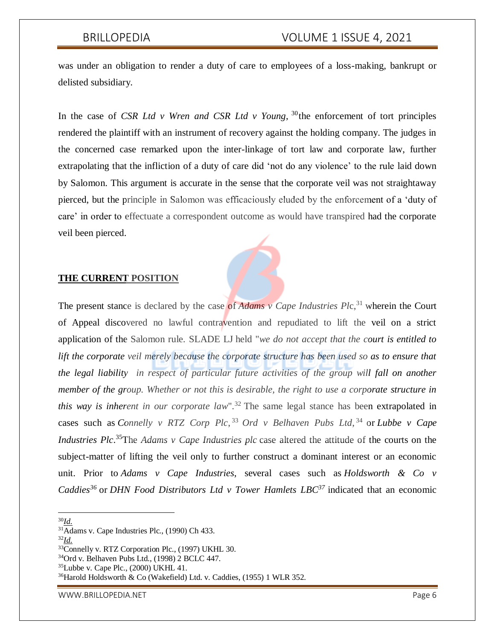was under an obligation to render a duty of care to employees of a loss-making, bankrupt or delisted subsidiary.

In the case of *CSR Ltd v Wren and CSR Ltd v Young*,  $30$  the enforcement of tort principles rendered the plaintiff with an instrument of recovery against the holding company. The judges in the concerned case remarked upon the inter-linkage of tort law and corporate law, further extrapolating that the infliction of a duty of care did 'not do any violence' to the rule laid down by Salomon. This argument is accurate in the sense that the corporate veil was not straightaway pierced, but the principle in Salomon was efficaciously eluded by the enforcement of a 'duty of care' in order to effectuate a correspondent outcome as would have transpired had the corporate veil been pierced.

### **THE CURRENT POSITION**

The present stance is declared by the case of *Adams v Cape Industries Plc*,<sup>31</sup> wherein the Court of Appeal discovered no lawful contravention and repudiated to lift the veil on a strict application of the Salomon rule. SLADE LJ held "*we do not accept that the court is entitled to*  lift the corporate veil merely because the corporate structure has been used so as to ensure that *the legal liability in respect of particular future activities of the group will fall on another member of the group. Whether or not this is desirable, the right to use a corporate structure in this way is inherent in our corporate law*".<sup>32</sup> The same legal stance has been extrapolated in cases such as *Connelly v RTZ Corp Plc*, <sup>33</sup> *Ord v Belhaven Pubs Ltd*, <sup>34</sup> or *Lubbe v Cape Industries Plc*.<sup>35</sup>The *Adams v Cape Industries plc* case altered the attitude of the courts on the subject-matter of lifting the veil only to further construct a dominant interest or an economic unit. Prior to *Adams v Cape Industries*, several cases such as *Holdsworth & Co v Caddies<sup>36</sup>* or *DHN Food Distributors Ltd v Tower Hamlets LBC<sup>37</sup>* indicated that an economic

 $\overline{\phantom{a}}$ <sup>30</sup>*Id.*

<sup>32</sup>*Id.*

WWW.BRILLOPEDIA.NET And the state of the state of the state of the state of the state of the state of the state of the state of the state of the state of the state of the state of the state of the state of the state of the

 $31\overline{\text{Adams}}$  v. Cape Industries Plc., (1990) Ch 433.

<sup>&</sup>lt;sup>33</sup>Connelly v. RTZ Corporation Plc., (1997) UKHL 30.

<sup>34</sup>Ord v. Belhaven Pubs Ltd., (1998) 2 BCLC 447.

 $35$ Lubbe v. Cape Plc., (2000) UKHL 41.

<sup>36</sup>Harold Holdsworth & Co (Wakefield) Ltd. v. Caddies, (1955) 1 WLR 352.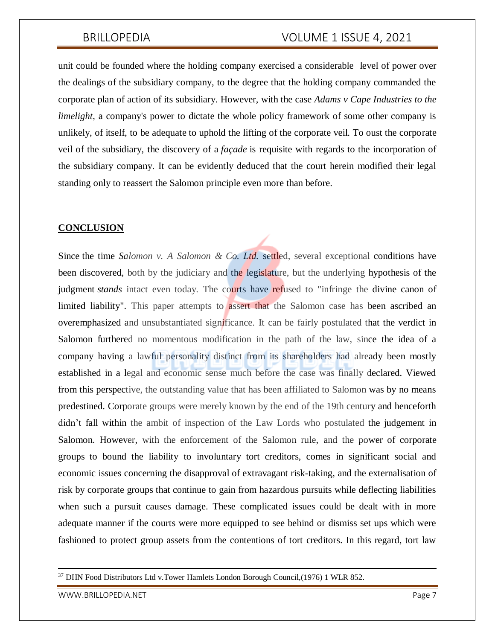unit could be founded where the holding company exercised a considerable level of power over the dealings of the subsidiary company, to the degree that the holding company commanded the corporate plan of action of its subsidiary. However, with the case *Adams v Cape Industries to the limelight*, a company's power to dictate the whole policy framework of some other company is unlikely, of itself, to be adequate to uphold the lifting of the corporate veil. To oust the corporate veil of the subsidiary, the discovery of a *façade* is requisite with regards to the incorporation of the subsidiary company. It can be evidently deduced that the court herein modified their legal standing only to reassert the Salomon principle even more than before.

### **CONCLUSION**

Since the time *Salomon v. A Salomon & Co. Ltd.* settled, several exceptional conditions have been discovered, both by the judiciary and the legislature, but the underlying hypothesis of the judgment *stands* intact even today. The courts have refused to "infringe the divine canon of limited liability". This paper attempts to assert that the Salomon case has been ascribed an overemphasized and unsubstantiated significance. It can be fairly postulated that the verdict in Salomon furthered no momentous modification in the path of the law, since the idea of a company having a lawful personality distinct from its shareholders had already been mostly established in a legal and economic sense much before the case was finally declared. Viewed from this perspective, the outstanding value that has been affiliated to Salomon was by no means predestined. Corporate groups were merely known by the end of the 19th century and henceforth didn't fall within the ambit of inspection of the Law Lords who postulated the judgement in Salomon. However, with the enforcement of the Salomon rule, and the power of corporate groups to bound the liability to involuntary tort creditors, comes in significant social and economic issues concerning the disapproval of extravagant risk-taking, and the externalisation of risk by corporate groups that continue to gain from hazardous pursuits while deflecting liabilities when such a pursuit causes damage. These complicated issues could be dealt with in more adequate manner if the courts were more equipped to see behind or dismiss set ups which were fashioned to protect group assets from the contentions of tort creditors. In this regard, tort law

WWW.BRILLOPEDIA.NET And the state of the state of the state of the state of the state of the state of the state of the state of the state of the state of the state of the state of the state of the state of the state of the

 $\overline{a}$ 

<sup>37</sup> DHN Food Distributors Ltd v.Tower Hamlets London Borough Council,(1976) 1 WLR 852.